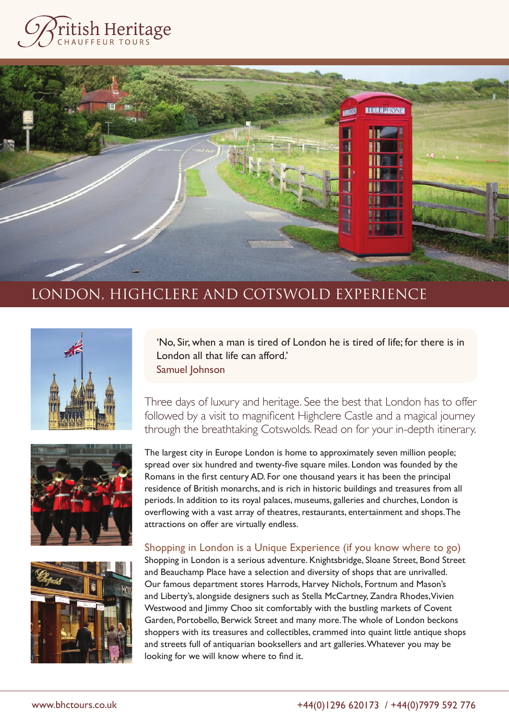









'No, Sir, when a man is tired of London he is tired of life; for there is in London all that life can afford.' Samuel Johnson

Three days of luxury and heritage. See the best that London has to offer followed by a visit to magnificent Highclere Castle and a magical journey through the breathtaking Cotswolds. Read on for your in-depth itinerary.

The largest city in Europe London is home to approximately seven million people; spread over six hundred and twenty-five square miles. London was founded by the Romans in the first century AD. For one thousand years it has been the principal residence of British monarchs, and is rich in historic buildings and treasures from all periods. In addition to its royal palaces, museums, galleries and churches, London is overflowing with a vast array of theatres, restaurants, entertainment and shops. The attractions on offer are virtually endless.

## Shopping in London is a Unique Experience (if you know where to go)

Shopping in London is a serious adventure. Knightsbridge, Sloane Street, Bond Street and Beauchamp Place have a selection and diversity of shops that are unrivalled. Our famous department stores Harrods, Harvey Nichols, Fortnum and Mason's and Liberty's, alongside designers such as Stella McCartney, Zandra Rhodes, Vivien Westwood and Jimmy Choo sit comfortably with the bustling markets of Covent Garden, Portobello, Berwick Street and many more. The whole of London beckons shoppers with its treasures and collectibles, crammed into quaint little antique shops and streets full of antiquarian booksellers and art galleries. Whatever you may be looking for we will know where to find it.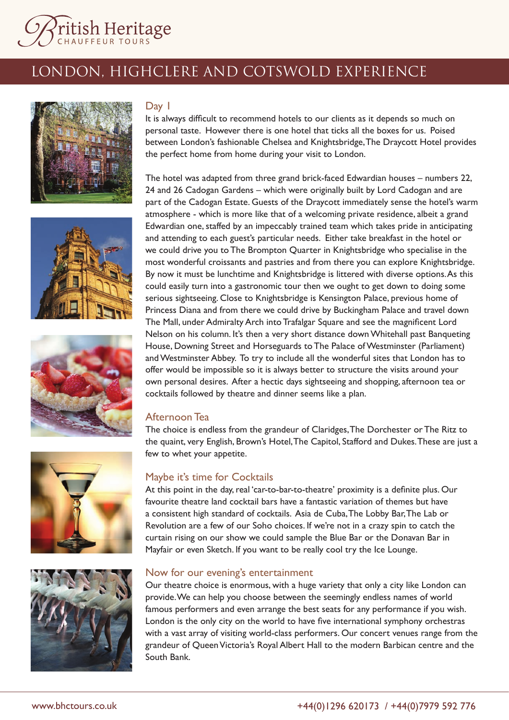







### Day 1

It is always difficult to recommend hotels to our clients as it depends so much on personal taste. However there is one hotel that ticks all the boxes for us. Poised between London's fashionable Chelsea and Knightsbridge, The Draycott Hotel provides the perfect home from home during your visit to London.

The hotel was adapted from three grand brick-faced Edwardian houses – numbers 22, 24 and 26 Cadogan Gardens – which were originally built by Lord Cadogan and are part of the Cadogan Estate. Guests of the Draycott immediately sense the hotel's warm atmosphere - which is more like that of a welcoming private residence, albeit a grand Edwardian one, staffed by an impeccably trained team which takes pride in anticipating and attending to each guest's particular needs. Either take breakfast in the hotel or we could drive you to The Brompton Quarter in Knightsbridge who specialise in the most wonderful croissants and pastries and from there you can explore Knightsbridge. By now it must be lunchtime and Knightsbridge is littered with diverse options. As this could easily turn into a gastronomic tour then we ought to get down to doing some serious sightseeing. Close to Knightsbridge is Kensington Palace, previous home of Princess Diana and from there we could drive by Buckingham Palace and travel down The Mall, under Admiralty Arch into Trafalgar Square and see the magnificent Lord Nelson on his column. It's then a very short distance down Whitehall past Banqueting House, Downing Street and Horseguards to The Palace of Westminster (Parliament) and Westminster Abbey. To try to include all the wonderful sites that London has to offer would be impossible so it is always better to structure the visits around your own personal desires. After a hectic days sightseeing and shopping, afternoon tea or cocktails followed by theatre and dinner seems like a plan.

### Afternoon Tea

The choice is endless from the grandeur of Claridges, The Dorchester or The Ritz to the quaint, very English, Brown's Hotel, The Capitol, Stafford and Dukes. These are just a few to whet your appetite.

### Maybe it's time for Cocktails

At this point in the day, real 'car-to-bar-to-theatre' proximity is a definite plus. Our favourite theatre land cocktail bars have a fantastic variation of themes but have a consistent high standard of cocktails. Asia de Cuba, The Lobby Bar, The Lab or Revolution are a few of our Soho choices. If we're not in a crazy spin to catch the curtain rising on our show we could sample the Blue Bar or the Donavan Bar in Mayfair or even Sketch. If you want to be really cool try the Ice Lounge.

#### Now for our evening's entertainment

Our theatre choice is enormous, with a huge variety that only a city like London can provide. We can help you choose between the seemingly endless names of world famous performers and even arrange the best seats for any performance if you wish. London is the only city on the world to have five international symphony orchestras with a vast array of visiting world-class performers. Our concert venues range from the grandeur of Queen Victoria's Royal Albert Hall to the modern Barbican centre and the South Bank.



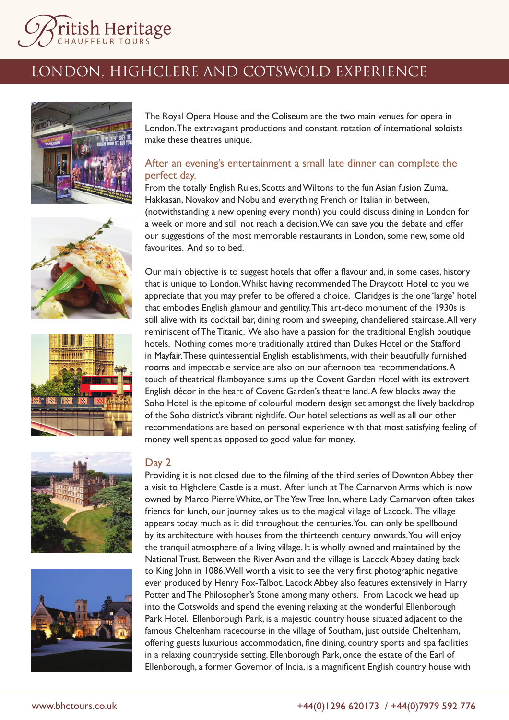



The Royal Opera House and the Coliseum are the two main venues for opera in London. The extravagant productions and constant rotation of international soloists make these theatres unique.

## After an evening's entertainment a small late dinner can complete the perfect day.

From the totally English Rules, Scotts and Wiltons to the fun Asian fusion Zuma, Hakkasan, Novakov and Nobu and everything French or Italian in between, (notwithstanding a new opening every month) you could discuss dining in London for a week or more and still not reach a decision. We can save you the debate and offer our suggestions of the most memorable restaurants in London, some new, some old favourites. And so to bed.

Our main objective is to suggest hotels that offer a flavour and, in some cases, history that is unique to London. Whilst having recommended The Draycott Hotel to you we appreciate that you may prefer to be offered a choice. Claridges is the one 'large' hotel that embodies English glamour and gentility. This art-deco monument of the 1930s is still alive with its cocktail bar, dining room and sweeping, chandeliered staircase. All very reminiscent of The Titanic. We also have a passion for the traditional English boutique hotels. Nothing comes more traditionally attired than Dukes Hotel or the Stafford in Mayfair. These quintessential English establishments, with their beautifully furnished rooms and impeccable service are also on our afternoon tea recommendations. A touch of theatrical flamboyance sums up the Covent Garden Hotel with its extrovert English décor in the heart of Covent Garden's theatre land. A few blocks away the Soho Hotel is the epitome of colourful modern design set amongst the lively backdrop of the Soho district's vibrant nightlife. Our hotel selections as well as all our other recommendations are based on personal experience with that most satisfying feeling of









Providing it is not closed due to the filming of the third series of Downton Abbey then a visit to Highclere Castle is a must. After lunch at The Carnarvon Arms which is now owned by Marco Pierre White, or The Yew Tree Inn, where Lady Carnarvon often takes friends for lunch, our journey takes us to the magical village of Lacock. The village appears today much as it did throughout the centuries. You can only be spellbound by its architecture with houses from the thirteenth century onwards. You will enjoy the tranquil atmosphere of a living village. It is wholly owned and maintained by the National Trust. Between the River Avon and the village is Lacock Abbey dating back to King John in 1086. Well worth a visit to see the very first photographic negative ever produced by Henry Fox-Talbot. Lacock Abbey also features extensively in Harry Potter and The Philosopher's Stone among many others. From Lacock we head up into the Cotswolds and spend the evening relaxing at the wonderful Ellenborough Park Hotel. Ellenborough Park, is a majestic country house situated adjacent to the famous Cheltenham racecourse in the village of Southam, just outside Cheltenham, offering guests luxurious accommodation, fine dining, country sports and spa facilities in a relaxing countryside setting. Ellenborough Park, once the estate of the Earl of Ellenborough, a former Governor of India, is a magnificent English country house with